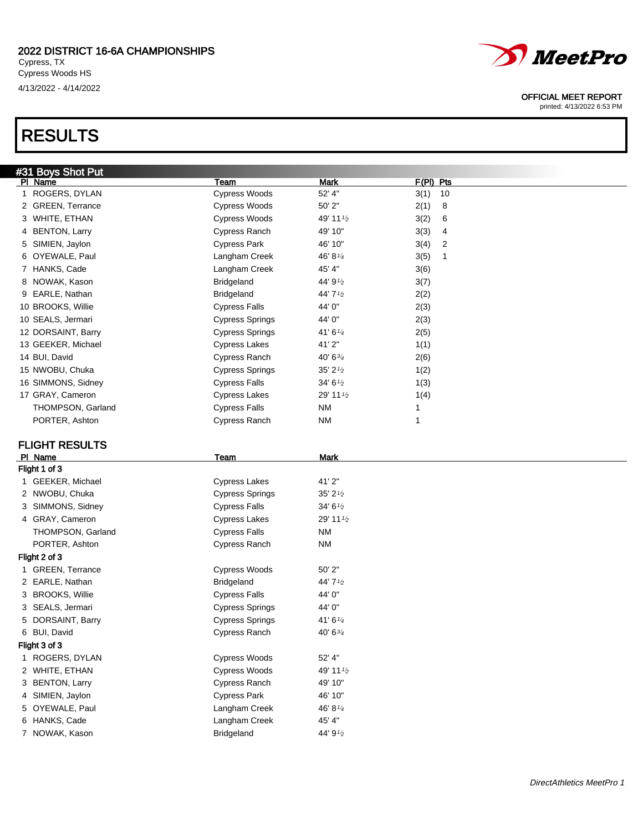RESULTS



## OFFICIAL MEET REPORT

printed: 4/13/2022 6:53 PM

## #31 Boys Shot Put Pl Name Team Mark F(Pl) Pts 1 ROGERS, DYLAN Cypress Woods 52' 4" 3(1) 10 2 GREEN, Terrance Cypress Woods 50' 2" 2(1) 8 3 WHITE, ETHAN  $\sim$  Cypress Woods  $\sim$  49' 11<sup>1</sup>/<sub>2</sub>  $\sim$  3(2) 6 4 BENTON, Larry **Cypress Ranch** 49' 10" 3(3) 4 5 SIMIEN, Jaylon Cypress Park 46' 10" 3(4) 2 6 OYEWALE, Paul  $\sim$  Langham Creek  $46' 8^{1/4}$  3(5) 1 7 HANKS, Cade **Langham Creek** 45' 4" 3(6) 8 NOWAK, Kason Bridgeland  $44'$  9<sup>1</sup>/<sub>2</sub>  $3(7)$ 9 EARLE, Nathan  $\overline{B}$  Bridgeland  $\overline{A}$   $\overline{A}$   $\overline{A}$   $\overline{A}$   $\overline{A}$   $\overline{A}$   $\overline{A}$   $\overline{A}$   $\overline{A}$   $\overline{A}$   $\overline{A}$   $\overline{A}$   $\overline{A}$   $\overline{A}$   $\overline{A}$   $\overline{A}$   $\overline{A}$   $\overline{A}$   $\overline{A}$   $\overline{A}$   $\overline{$ 10 BROOKS, Willie Cypress Falls 44' 0" 2(3) 10 SEALS, Jermari Cypress Springs 44' 0" 2(3) 12 DORSAINT, Barry **Cypress Springs** 41' 6<sup>1/4</sup> 2(5) 13 GEEKER, Michael **113** Cypress Lakes 41' 2" 1(1) 14 BUI, David Cypress Ranch 40' 63/<sup>4</sup> 2(6) 15 NWOBU, Chuka **Cypress Springs** 35' 2<sup>1</sup>/<sub>2</sub> 1(2) 16 SIMMONS, Sidney Cypress Falls 34' 6<sup>1</sup>/<sub>2</sub> 1(3) 17 GRAY, Cameron **111/2** Cypress Lakes 29' 11<sup>1</sup>/<sub>2</sub> 1(4) THOMPSON, Garland **Cypress Falls** NM 1 PORTER, Ashton **Cypress Ranch** NM 1 FLIGHT RESULTS PI Name Mark Flight 1 of 3 1 GEEKER, Michael **Cypress Lakes** 41' 2" 2 NWOBU, Chuka **Cypress Springs** 35' 2<sup>1/2</sup> 3 SIMMONS, Sidney Cypress Falls 34' 6<sup>1/2</sup> 4 GRAY, Cameron Cypress Lakes 29' 11<sup>1/2</sup> THOMPSON, Garland Cypress Falls NM PORTER, Ashton **Cypress Ranch** NM Flight 2 of 3 1 GREEN, Terrance **Cypress Woods** 50' 2" 2 EARLE, Nathan Bridgeland 44' 7<sup>1/2</sup> 3 BROOKS, Willie Cypress Falls 44' 0" 3 SEALS, Jermari **Cypress Springs** 44' 0" 5 DORSAINT, Barry **Cypress Springs** 41' 6<sup>1/4</sup> 6 BUI, David **Cypress Ranch** 40' 6<sup>3/4</sup> Flight 3 of 3 1 ROGERS, DYLAN Cypress Woods 52' 4" 2 WHITE, ETHAN Cypress Woods 49' 11<sup>1/2</sup> 3 BENTON, Larry **Cypress Ranch** 49' 10" 4 SIMIEN, Jaylon **Cypress Park** 46' 10" 5 OYEWALE, Paul **Langham Creek** 46' 8<sup>1/4</sup> 6 HANKS, Cade **Langham Creek** 45' 4" 7 NOWAK, Kason **Bridgeland** 44' 9<sup>1</sup>/<sub>2</sub>